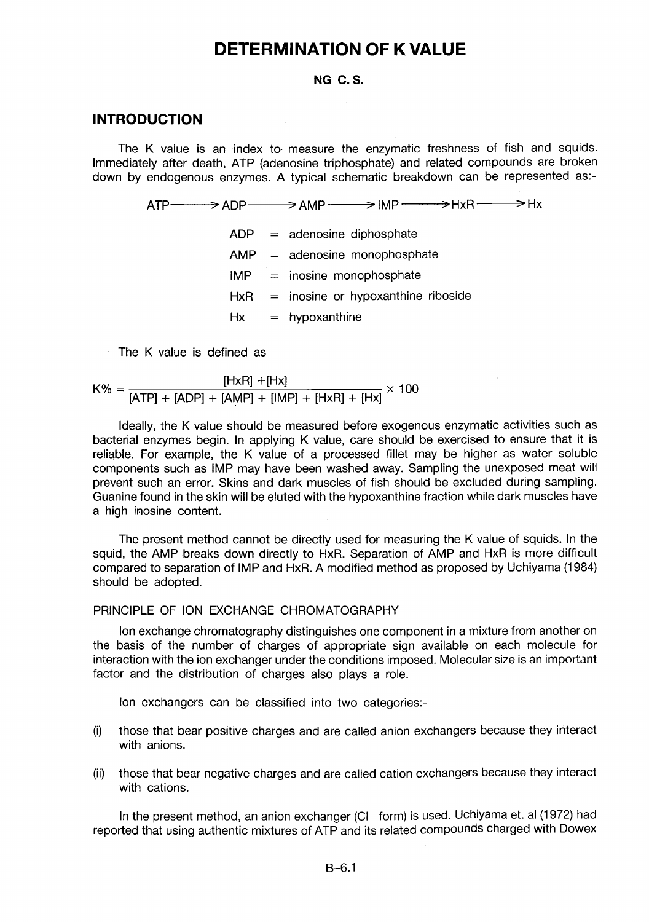# **DETERMINATION OF K VALUE**

#### **NG C.S.**

#### **INTRODUCTION**

The K value is an index to measure the enzymatic freshness of fish and squids. Immediately after death, ATP (adenosine triphosphate) and related compounds are broken down by endogenous enzymes. A typical schematic breakdown can be represented as:-

 $ATP \longrightarrow ADP \longrightarrow AMP \longrightarrow IMP$   $\longrightarrow HxR \longrightarrow Hx$ 

- $ADP = adenosine diphosphate$  $AMP = adenosine monophosphate$  $IMP =$  inosine monophosphate  $HxR =$  inosine or hypoxanthine riboside  $Hx = hypoxanthine$
- The K value is defined as

$$
K\% = \frac{[HxR] + [Hx]}{[ATP] + [ADP] + [AMP] + [IMP] + [HxR] + [Hx]} \times 100
$$

Ideally, the K value should be measured before exogenous enzymatic activities such as bacterial enzymes begin. In applying K value, care should be exercised to ensure that it is reliable. For example, the K value of a processed fillet may be higher as water soluble components such as IMP may have been washed away. Sampling the unexposed meat will prevent such an error. Skins and dark muscles of fish should be excluded during sampling. Guanine found in the skin will be eluted with the hypoxanthine fraction while dark muscles have a high inosine content.

The present method cannot be directly used for measuring the K value of squids. In the squid, the AMP breaks down directly to HxR. Separation of AMP and HxR is more difficult compared to separation of IMP and HxR. A modified method as proposed by Uchiyama (1984) should be adopted.

### PRINCIPLE OF ION EXCHANGE CHROMATOGRAPHY

Ion exchange chromatography distinguishes one component in a mixture from another on the basis of the number of charges of appropriate sign available on each molecule for interaction with the ion exchanger under the conditions imposed. Molecular size is an important factor and the distribution of charges also plays a role.

Ion exchangers can be classified into two categories:-

- (i) those that bear positive charges and are called anion exchangers because they interact with anions.
- (ii) those that bear negative charges and are called cation exchangers because they interact with cations.

In the present method, an anion exchanger (CI $^-$  form) is used. Uchiyama et. al (1972) had reported that using authentic mixtures of ATP and its related compounds charged with Dowex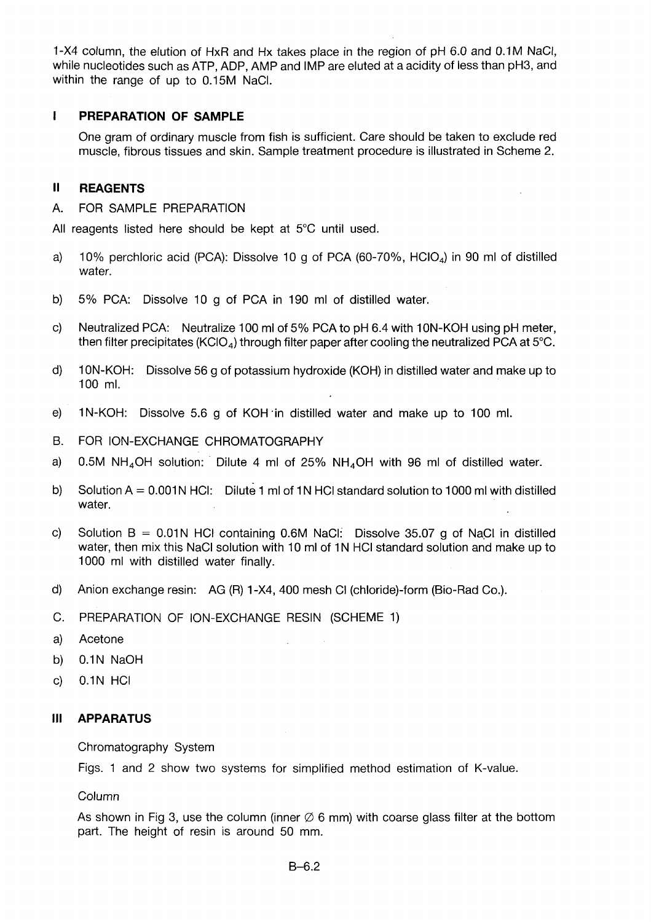1-X4 column, the elution of HxR and Hx takes place in the region of pH 6.0 and 0.1M NaCl, while nucleotides such as ATP, ADP, AMP and IMP are eluted at a acidity of less than pH3, and within the range of up to 0.15M NaCl.

## **I PREPARATION OF SAMPLE**

One gram of ordinary muscle from fish is sufficient. Care should be taken to exclude red muscle, fibrous tissues and skin. Sample treatment procedure is illustrated in Scheme 2.

### **II REAGENTS**

A. FOR SAMPLE PREPARATION

All reagents listed here should be kept at 5°C until used.

- a) 10% perchloric acid (PCA): Dissolve 10 g of PCA (60-70%,  $HCIO<sub>A</sub>$ ) in 90 ml of distilled water.
- b) 5% PCA: Dissolve 10 g of PCA in 190 ml of distilled water.
- c) Neutralized PCA: Neutralize 100 ml of 5% PCA to pH 6.4 with 10N-KOH using pH meter, then filter precipitates (KClO<sub>4</sub>) through filter paper after cooling the neutralized PCA at 5°C.
- d) 10N-KOH: Dissolve 56 g of potassium hydroxide (KOH) in distilled water and make up to 100 ml.
- e) 1N-KOH: Dissolve 5.6 g of KOH in distilled water and make up to 100 ml.
- B. FOR ION-EXCHANGE CHROMATOGRAPHY
- a) 0.5M NH<sub>4</sub>OH solution: Dilute 4 ml of 25% NH<sub>4</sub>OH with 96 ml of distilled water.
- b) Solution A =  $0.001N$  HCl: Dilute 1 ml of 1N HCl standard solution to 1000 ml with distilled water.
- c) Solution  $B = 0.01N$  HCl containing 0.6M NaCl: Dissolve 35.07 g of NaCl in distilled water, then mix this NaCI solution with 10 ml of 1N HCl standard solution and make up to 1000 ml with distilled water finally.
- d) Anion exchange resin: AG (R) 1-X4, 400 mesh Cl (chloride)-form (Bio-Rad Co.).
- C. PREPARATION OF ION-EXCHANGE RESIN (SCHEME 1)
- a) Acetone
- b) 0.1N NaOH
- c) 0.1N HCl

#### **III APPARATUS**

Chromatography System

Figs. 1 and 2 show two systems for simplified method estimation of K-value.

Column

As shown in Fig 3, use the column (inner  $\varnothing$  6 mm) with coarse glass filter at the bottom part. The height of resin is around 50 mm.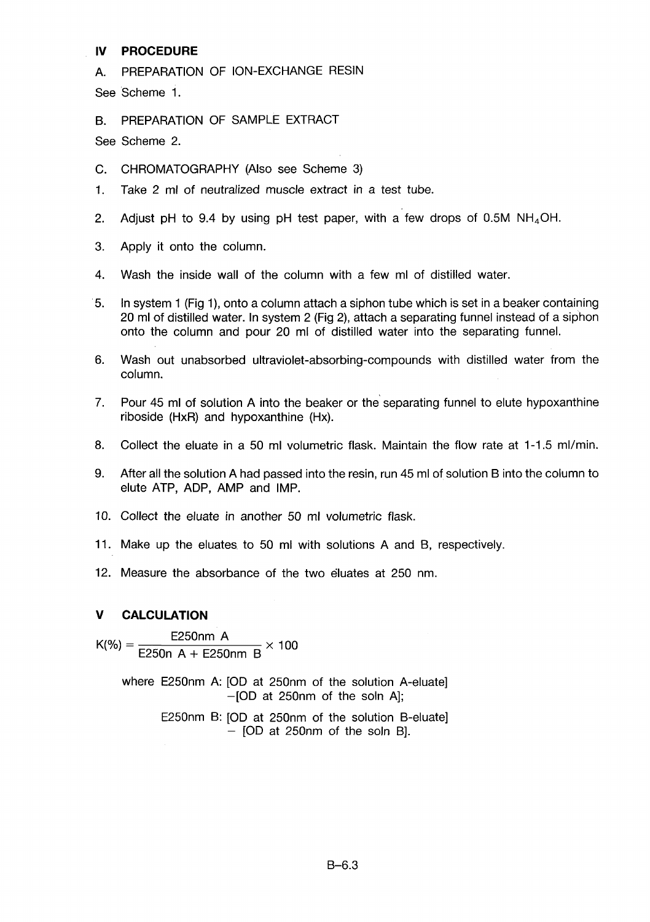## **IV PROCEDURE**

A. PREPARATION OF ION-EXCHANGE RESIN

See Scheme 1.

B. PREPARATION OF SAMPLE EXTRACT

See Scheme 2.

- C. CHROMATOGRAPHY (Also see Scheme 3)
- 1. Take 2 ml of neutralized muscle extract in a test tube.
- 2. Adjust pH to 9.4 by using pH test paper, with a few drops of 0.5M  $NH_4OH$ .
- 3. Apply it onto the column.
- 4. Wash the inside wall of the column with a few ml of distilled water.
- 5. In system 1 (Fig 1), onto a column attach a siphon tube which is set in a beaker containing 20 ml of distilled water. In system 2 (Fig 2), attach a separating funnel instead of a siphon onto the column and pour 20 ml of distilled water into the separating funnel.
- 6. Wash out unabsorbed ultraviolet-absorbing-compounds with distilled water from the column.
- 7. Pour 45 ml of solution A into the beaker or the separating funnel to elute hypoxanthine riboside (HxR) and hypoxanthine (Hx).
- 8. Collect the eluate in a 50 ml volumetric flask. Maintain the flow rate at 1-1.5 ml/min.
- 9. After all the solution A had passed into the resin, run 45 ml of solution B into the column to elute ATP, ADP, AMP and IMP.
- 10. Collect the eluate in another 50 ml volumetric flask.
- 11. Make up the eluates to 50 ml with solutions A and B, respectively.
- 12. Measure the absorbance of the two eluates at 250 nm.

## **V CALCULATION**

 $K(%)=$ E250nm A x 100 E250n A + E250nm B

> where E250nm A: [OD at 250nm of the solution A-eluate]  $-[OD at 250nm of the soln A];$

> > E250nm B: [OD at 250nm of the solution B-eluate] - [OD at 250nm of the soln B].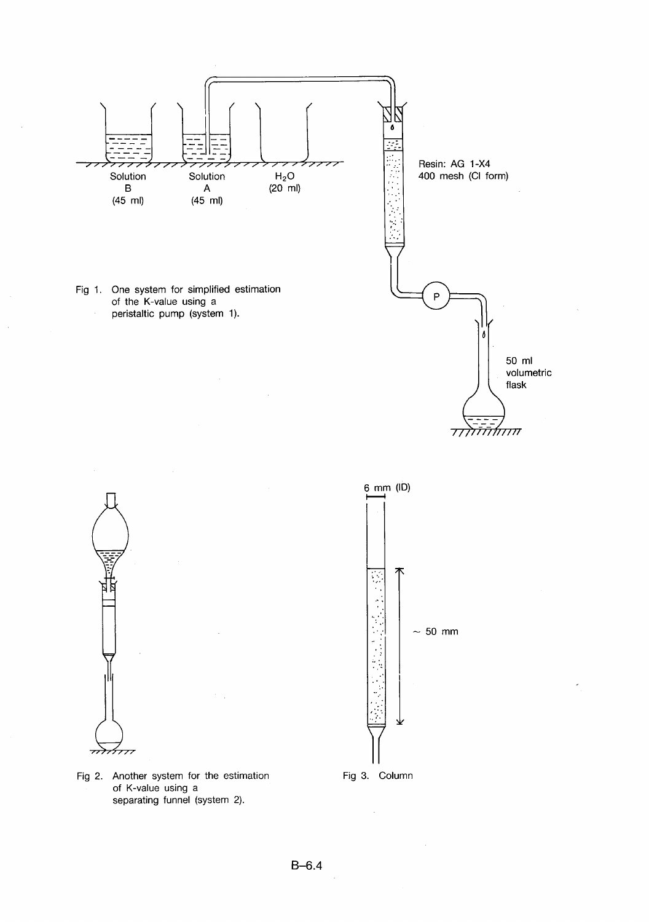





Fig 2. Another system for the estimation of K-value using a separating funnel (system 2).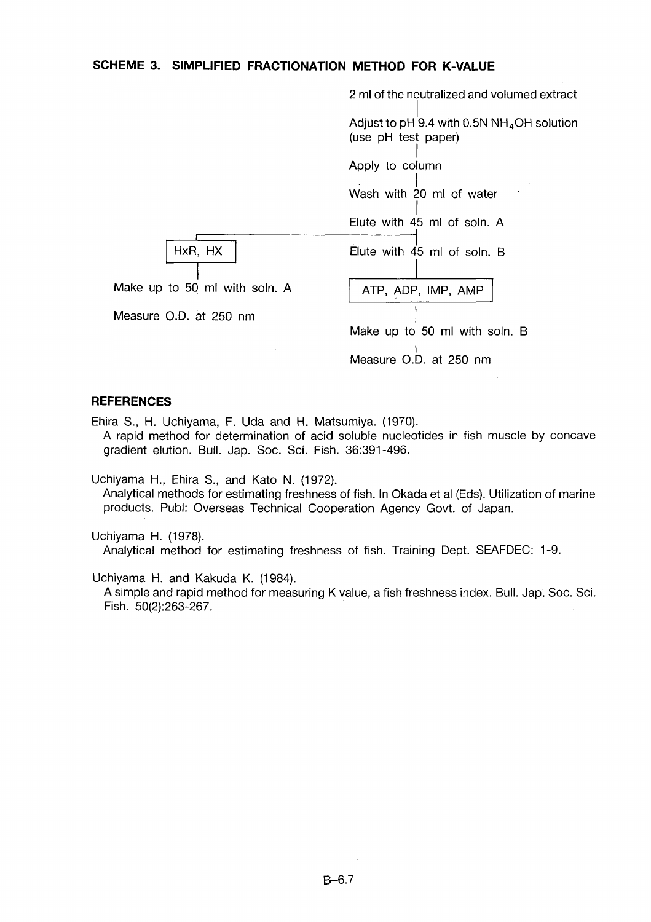#### **SCHEME 3. SIMPLIFIED FRACTIONATION METHOD FOR K-VALUE**



#### **REFERENCES**

Ehira S., H. Uchiyama, F. Uda and H. Matsumiya. (1970). A rapid method for determination of acid soluble nucleotides in fish muscle by concave gradient elution. Bull. Jap. Soc. Sci. Fish. 36:391-496.

Uchiyama H., Ehira S., and Kato N. (1972). Analytical methods for estimating freshness of fish. In Okada et al (Eds). Utilization of marine products. Publ: Overseas Technical Cooperation Agency Govt. of Japan.

Uchiyama H. (1978). Analytical method for estimating freshness of fish. Training Dept. SEAFDEC: 1-9.

Uchiyama H. and Kakuda K. (1984).

A simple and rapid method for measuring K value, a fish freshness index. Bull. Jap. Soc. Sci. Fish. 50(2):263-267.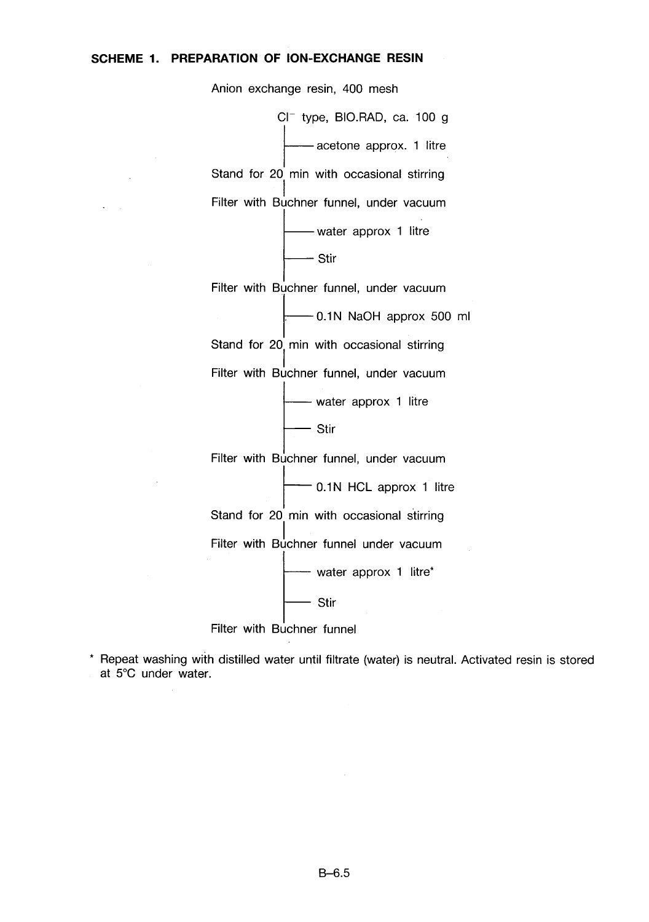## **SCHEME 1. PREPARATION OF ION-EXCHANGE RESIN**

 $\mathbf{r} = \mathbf{r}$ 

Anion exchange resin, 400 mesh

 $Cl^-$  type, BIO.RAD, ca. 100 g -acetone approx. 1 litre Stand for 20 min with occasional stirring Filter with Buchner funnel, under vacuum - water approx 1 litre — Stir

Filter with Buchner funnel, under vacuum

 $-0.1N$  NaOH approx 500 ml Stand for 20 min with occasional stirring Filter with Buchner funnel, under vacuum

> - water approx 1 litre  $-$  Stir

Filter with Buchner funnel, under vacuum

 $-$  0.1N HCL approx 1 litre

Stand for 20 min with occasional stirring

Filter with Buchner funnel under vacuum

— water approx 1 litre\*

- Stir

Filter with Buchner funnel

\* Repeat washing with distilled water until filtrate (water) is neutral. Activated resin is stored at 5°C under water.